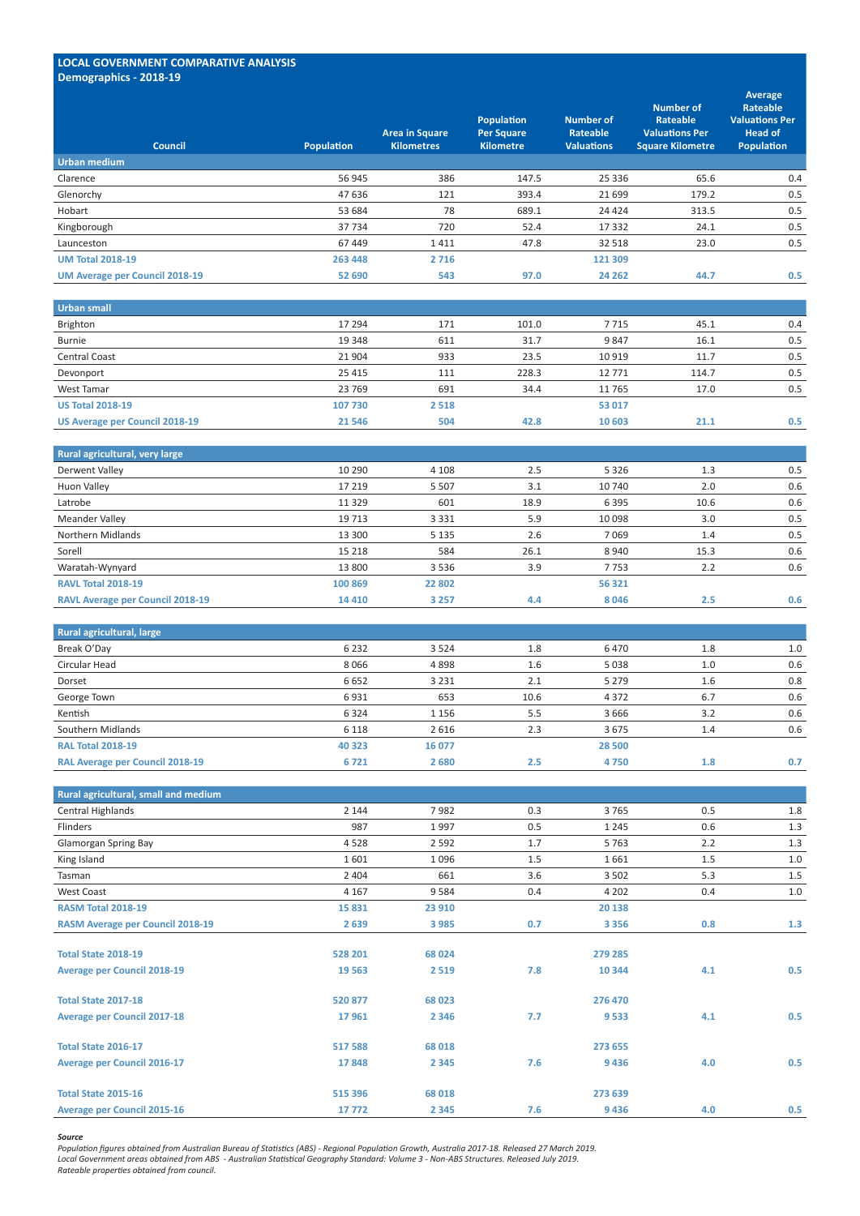### **LOCAL GOVERNMENT COMPARATIVE ANALYSIS Demographics ‐ 2018-19**

| Council                               | <b>Population</b> | <b>Area in Square</b><br><b>Kilometres</b> | <b>Population</b><br><b>Per Square</b><br><b>Kilometre</b> | <b>Number of</b><br><b>Rateable</b><br><b>Valuations</b> | <b>Number of</b><br><b>Rateable</b><br><b>Valuations Per</b><br><b>Square Kilometre</b> | <b>Average</b><br><b>Rateable</b><br><b>Valuations Per</b><br><b>Head of</b><br><b>Population</b> |
|---------------------------------------|-------------------|--------------------------------------------|------------------------------------------------------------|----------------------------------------------------------|-----------------------------------------------------------------------------------------|---------------------------------------------------------------------------------------------------|
| <b>Urban medium</b>                   |                   |                                            |                                                            |                                                          |                                                                                         |                                                                                                   |
| Clarence                              | 56 945            | 386                                        | 147.5                                                      | 25 3 36                                                  | 65.6                                                                                    | 0.4                                                                                               |
| Glenorchy                             | 47 636            | 121                                        | 393.4                                                      | 21 699                                                   | 179.2                                                                                   | 0.5                                                                                               |
| Hobart                                | 53 684            | 78                                         | 689.1                                                      | 24 4 24                                                  | 313.5                                                                                   | 0.5                                                                                               |
| Kingborough                           | 37734             | 720                                        | 52.4                                                       | 17 3 32                                                  | 24.1                                                                                    | 0.5                                                                                               |
| Launceston                            | 67 449            | 1411                                       | 47.8                                                       | 32 518                                                   | 23.0                                                                                    | 0.5                                                                                               |
| <b>UM Total 2018-19</b>               | 263 448           | 2716                                       |                                                            | 121 309                                                  |                                                                                         |                                                                                                   |
| <b>UM Average per Council 2018-19</b> | 52 690            | 543                                        | 97.0                                                       | 24 26 2                                                  | 44.7                                                                                    | 0.5                                                                                               |
|                                       |                   |                                            |                                                            |                                                          |                                                                                         |                                                                                                   |
| <b>Urban small</b>                    |                   |                                            |                                                            |                                                          |                                                                                         |                                                                                                   |
| Brighton                              | 17 294            | 171                                        | 101.0                                                      | 7715                                                     | 45.1                                                                                    | 0.4                                                                                               |
| <b>Burnie</b>                         | 19 348            | 611                                        | 31.7                                                       | 9847                                                     | 16.1                                                                                    | 0.5                                                                                               |
| <b>Central Coast</b>                  | 21 904            | 933                                        | 23.5                                                       | 10 9 19                                                  | 11.7                                                                                    | 0.5                                                                                               |
| Devonport                             | 25 4 15           | 111                                        | 228.3                                                      | 12 771                                                   | 114.7                                                                                   | 0.5                                                                                               |
| West Tamar                            | 23 769            | 691                                        | 34.4                                                       | 11 765                                                   | 17.0                                                                                    | 0.5                                                                                               |
| <b>US Total 2018-19</b>               | 107 730           | 2 5 1 8                                    |                                                            | 53 017                                                   |                                                                                         |                                                                                                   |
| <b>US Average per Council 2018-19</b> | 21 5 46           | 504                                        | 42.8                                                       | 10 603                                                   | 21.1                                                                                    | 0.5                                                                                               |
|                                       |                   |                                            |                                                            |                                                          |                                                                                         |                                                                                                   |
| Rural agricultural, very large        |                   |                                            |                                                            |                                                          |                                                                                         |                                                                                                   |
| <b>Derwent Valley</b>                 | 10 2 9 0          | 4 1 0 8                                    | 2.5                                                        | 5 3 2 6                                                  | 1.3                                                                                     | 0.5                                                                                               |
| <b>Huon Valley</b>                    | 17 2 19           | 5 5 0 7                                    | 3.1                                                        | 10 740                                                   | 2.0                                                                                     | 0.6                                                                                               |
| Latrobe                               | 11 3 29           | 601                                        | 18.9                                                       | 6 3 9 5                                                  | 10.6                                                                                    | 0.6                                                                                               |
| <b>Meander Valley</b>                 | 19 7 13           | 3 3 3 1                                    | 5.9                                                        | 10 098                                                   | 3.0                                                                                     | 0.5                                                                                               |
|                                       |                   |                                            |                                                            |                                                          |                                                                                         |                                                                                                   |

| <b>RAVL Average per Council 2018-19</b> | 14 4 10 | 3 2 5 7 | 4.4  | 8046   |            | 0.6 |
|-----------------------------------------|---------|---------|------|--------|------------|-----|
| <b>RAVL Total 2018-19</b>               | 100 869 | 22 802  |      | 56 321 |            |     |
| Waratah-Wynyard                         | 13 800  | 3 5 3 6 | 3.9  | 7 753  | L.L        | 0.6 |
| Sorell                                  | 15 2 18 | 584     | 26.1 | 8940   | 15.3       | 0.6 |
| Northern Midlands                       | 13 300  | 5 135   | 2.6  | 7 069  | $\perp$ .4 | 0.5 |

| <b>Rural agricultural, large</b>       |         |         |      |         |     |     |
|----------------------------------------|---------|---------|------|---------|-----|-----|
| Break O'Day                            | 6 2 3 2 | 3 5 2 4 | 1.8  | 6470    | 1.8 | 1.0 |
| Circular Head                          | 8066    | 4898    | 1.6  | 5038    | 1.0 | 0.6 |
| Dorset                                 | 6 6 5 2 | 3 2 3 1 | 2.1  | 5 2 7 9 | 1.6 | 0.8 |
| George Town                            | 6931    | 653     | 10.6 | 4 3 7 2 | 6.7 | 0.6 |
| Kentish                                | 6 3 2 4 | 1 1 5 6 | 5.5  | 3 6 6 6 | 3.2 | 0.6 |
| Southern Midlands                      | 6 1 1 8 | 2616    | 2.3  | 3675    | 1.4 | 0.6 |
| <b>RAL Total 2018-19</b>               | 40 323  | 16 077  |      | 28 500  |     |     |
| <b>RAL Average per Council 2018-19</b> | 6721    | 2680    | 2.5  | 4750    | 1.8 | 0.7 |

| Rural agricultural, small and medium    |         |         |     |         |     |       |
|-----------------------------------------|---------|---------|-----|---------|-----|-------|
| Central Highlands                       | 2 1 4 4 | 7982    | 0.3 | 3765    | 0.5 | 1.8   |
| Flinders                                | 987     | 1997    | 0.5 | 1 2 4 5 | 0.6 | $1.3$ |
| <b>Glamorgan Spring Bay</b>             | 4528    | 2 5 9 2 | 1.7 | 5763    | 2.2 | 1.3   |
| King Island                             | 1601    | 1096    | 1.5 | 1661    | 1.5 | 1.0   |
| Tasman                                  | 2 4 0 4 | 661     | 3.6 | 3 5 0 2 | 5.3 | 1.5   |
| West Coast                              | 4 1 6 7 | 9584    | 0.4 | 4 2 0 2 | 0.4 | 1.0   |
| <b>RASM Total 2018-19</b>               | 15 8 31 | 23 910  |     | 20 138  |     |       |
| <b>RASM Average per Council 2018-19</b> | 2639    | 3 9 8 5 | 0.7 | 3 3 5 6 | 0.8 | 1.3   |
|                                         |         |         |     |         |     |       |
| <b>Total State 2018-19</b>              | 528 201 | 68 0 24 |     | 279 285 |     |       |
| <b>Average per Council 2018-19</b>      | 19 5 63 | 2 5 1 9 | 7.8 | 10 344  | 4.1 | 0.5   |
| <b>Total State 2017-18</b>              | 520 877 | 68 023  |     | 276 470 |     |       |
| <b>Average per Council 2017-18</b>      | 17961   | 2 3 4 6 | 7.7 | 9533    | 4.1 | 0.5   |
| Total State 2016-17                     | 517 588 | 68 018  |     | 273 655 |     |       |
| <b>Average per Council 2016-17</b>      | 17848   | 2 3 4 5 | 7.6 | 9436    | 4.0 | 0.5   |
| <b>Total State 2015-16</b>              | 515 396 | 68 018  |     | 273 639 |     |       |
| <b>Average per Council 2015-16</b>      | 17772   | 2 3 4 5 | 7.6 | 9436    | 4.0 | 0.5   |

#### *Source*

*Population figures obtained from Australian Bureau of Statistics (ABS) - Regional Population Growth, Australia 2017-18. Released 27 March 2019. Local Government areas obtained from ABS - Australian Statistical Geography Standard: Volume 3 - Non-ABS Structures. Released July 2019. Rateable properties obtained from council.*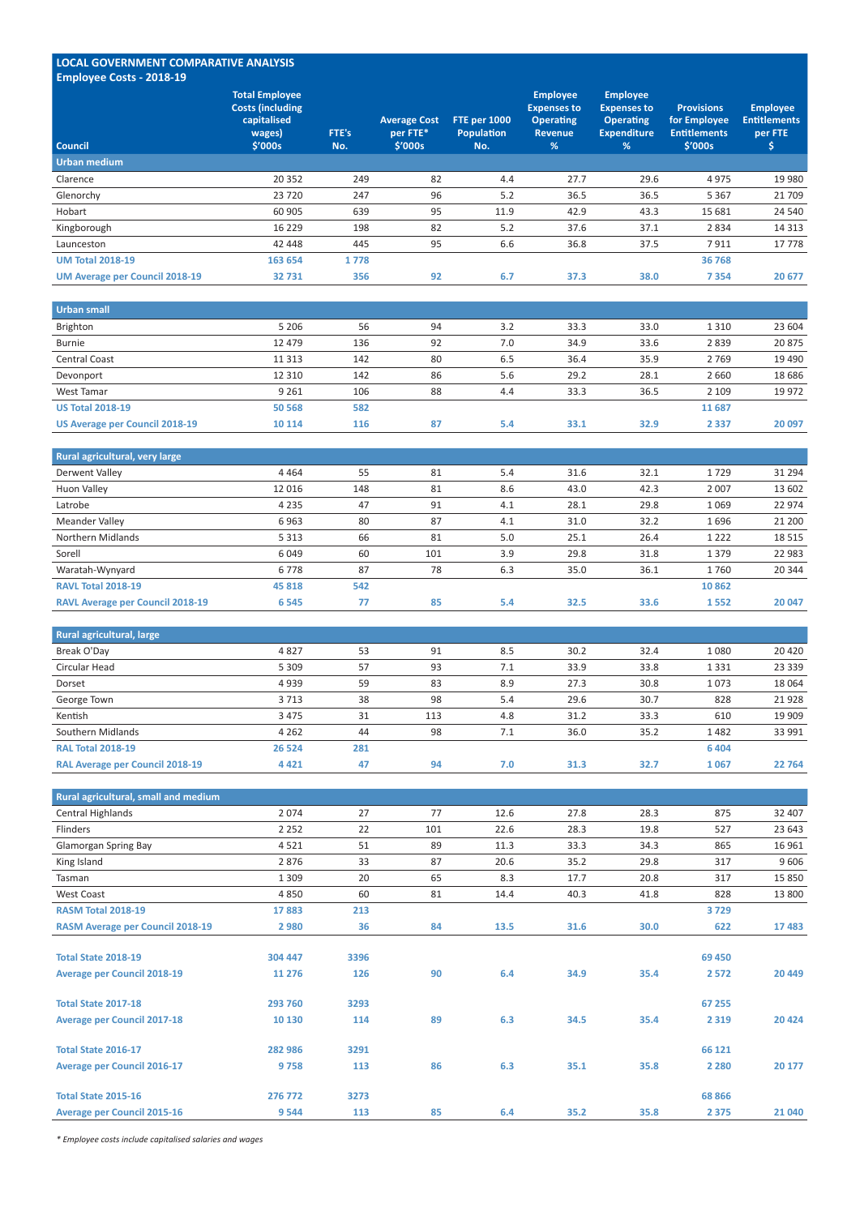## **LOCAL GOVERNMENT COMPARATIVE ANALYSIS Employee Costs ‐ 2018-19**

| <b>Council</b>                        | <b>Total Employee</b><br><b>Costs (including</b><br>capitalised<br>wages)<br>\$′000s | FTE's<br>No. | <b>Average Cost</b><br>per FTE*<br>\$′000s | <b>FTE per 1000</b><br><b>Population</b><br>No. | <b>Employee</b><br><b>Expenses to</b><br><b>Operating</b><br><b>Revenue</b><br>% | <b>Employee</b><br><b>Expenses to</b><br><b>Operating</b><br><b>Expenditure</b><br>% | <b>Provisions</b><br>for Employee<br><b>Entitlements</b><br>\$′000s | <b>Employee</b><br><b>Entitlements</b><br>per FTE<br>১ |
|---------------------------------------|--------------------------------------------------------------------------------------|--------------|--------------------------------------------|-------------------------------------------------|----------------------------------------------------------------------------------|--------------------------------------------------------------------------------------|---------------------------------------------------------------------|--------------------------------------------------------|
| Urban medium                          |                                                                                      |              |                                            |                                                 |                                                                                  |                                                                                      |                                                                     |                                                        |
| Clarence                              | 20 352                                                                               | 249          | 82                                         | 4.4                                             | 27.7                                                                             | 29.6                                                                                 | 4975                                                                | 19 9 80                                                |
| Glenorchy                             | 23 7 20                                                                              | 247          | 96                                         | 5.2                                             | 36.5                                                                             | 36.5                                                                                 | 5 3 6 7                                                             | 21 709                                                 |
| Hobart                                | 60 905                                                                               | 639          | 95                                         | 11.9                                            | 42.9                                                                             | 43.3                                                                                 | 15 681                                                              | 24 540                                                 |
| Kingborough                           | 16 229                                                                               | 198          | 82                                         | 5.2                                             | 37.6                                                                             | 37.1                                                                                 | 2834                                                                | 14 3 13                                                |
| Launceston                            | 42 448                                                                               | 445          | 95                                         | 6.6                                             | 36.8                                                                             | 37.5                                                                                 | 7911                                                                | 17 778                                                 |
| <b>UM Total 2018-19</b>               | 163 654                                                                              | 1778         |                                            |                                                 |                                                                                  |                                                                                      | 36 768                                                              |                                                        |
| <b>UM Average per Council 2018-19</b> | 32731                                                                                | 356          | 92                                         | 6.7                                             | 37.3                                                                             | 38.0                                                                                 | 7 3 5 4                                                             | 20 677                                                 |

| Urban small                           |         |     |    |     |      |      |         |          |
|---------------------------------------|---------|-----|----|-----|------|------|---------|----------|
| Brighton                              | 5 2 0 6 | 56  | 94 | 3.2 | 33.3 | 33.0 | 1 3 1 0 | 23 604   |
| <b>Burnie</b>                         | 12 479  | 136 | 92 | 7.0 | 34.9 | 33.6 | 2839    | 20875    |
| <b>Central Coast</b>                  | 11 3 13 | 142 | 80 | 6.5 | 36.4 | 35.9 | 2769    | 19 4 90  |
| Devonport                             | 12 3 10 | 142 | 86 | 5.6 | 29.2 | 28.1 | 2660    | 18 6 8 6 |
| West Tamar                            | 9 2 6 1 | 106 | 88 | 4.4 | 33.3 | 36.5 | 2 1 0 9 | 19 9 72  |
| <b>US Total 2018-19</b>               | 50 568  | 582 |    |     |      |      | 11687   |          |
| <b>US Average per Council 2018-19</b> | 10 114  | 116 | 87 | 5.4 | 33.1 | 32.9 | 2 3 3 7 | 20 097   |

| Rural agricultural, very large          |         |     |     |     |      |      |         |         |
|-----------------------------------------|---------|-----|-----|-----|------|------|---------|---------|
| Derwent Valley                          | 4 4 6 4 | 55  | 81  | 5.4 | 31.6 | 32.1 | 1729    | 31 294  |
| Huon Valley                             | 12 016  | 148 | 81  | 8.6 | 43.0 | 42.3 | 2 0 0 7 | 13 602  |
| Latrobe                                 | 4 2 3 5 | 47  | 91  | 4.1 | 28.1 | 29.8 | 1069    | 22 9 74 |
| Meander Valley                          | 6963    | 80  | 87  | 4.1 | 31.0 | 32.2 | 1696    | 21 200  |
| <b>Northern Midlands</b>                | 5 3 1 3 | 66  | 81  | 5.0 | 25.1 | 26.4 | 1 2 2 2 | 18515   |
| Sorell                                  | 6 0 4 9 | 60  | 101 | 3.9 | 29.8 | 31.8 | 1 3 7 9 | 22 983  |
| Waratah-Wynyard                         | 6778    | 87  | 78  | 6.3 | 35.0 | 36.1 | 1760    | 20 344  |
| <b>RAVL Total 2018-19</b>               | 45 818  | 542 |     |     |      |      | 10862   |         |
| <b>RAVL Average per Council 2018-19</b> | 6 5 4 5 | 77  | 85  | 5.4 | 32.5 | 33.6 | 1552    | 20 047  |

| Rural agricultural, large              |         |     |     |     |      |      |         |          |
|----------------------------------------|---------|-----|-----|-----|------|------|---------|----------|
| Break O'Day                            | 4827    | 53  | 91  | 8.5 | 30.2 | 32.4 | 1080    | 20 4 20  |
| Circular Head                          | 5 3 0 9 | 57  | 93  | 7.1 | 33.9 | 33.8 | 1331    | 23 3 3 9 |
| Dorset                                 | 4939    | 59  | 83  | 8.9 | 27.3 | 30.8 | 1073    | 18 0 64  |
| George Town                            | 3 7 1 3 | 38  | 98  | 5.4 | 29.6 | 30.7 | 828     | 21928    |
| Kentish                                | 3 4 7 5 | 31  | 113 | 4.8 | 31.2 | 33.3 | 610     | 19 909   |
| Southern Midlands                      | 4 2 6 2 | 44  | 98  | 7.1 | 36.0 | 35.2 | 1482    | 33 991   |
| <b>RAL Total 2018-19</b>               | 26 5 24 | 281 |     |     |      |      | 6 4 0 4 |          |
| <b>RAL Average per Council 2018-19</b> | 4 4 2 1 | 47  | 94  | 7.0 | 31.3 | 32.7 | 1067    | 22 7 64  |

| Rural agricultural, small and medium    |         |      |     |      |      |      |         |         |
|-----------------------------------------|---------|------|-----|------|------|------|---------|---------|
| Central Highlands                       | 2074    | 27   | 77  | 12.6 | 27.8 | 28.3 | 875     | 32 407  |
| Flinders                                | 2 2 5 2 | 22   | 101 | 22.6 | 28.3 | 19.8 | 527     | 23 643  |
| <b>Glamorgan Spring Bay</b>             | 4521    | 51   | 89  | 11.3 | 33.3 | 34.3 | 865     | 16 961  |
| King Island                             | 2876    | 33   | 87  | 20.6 | 35.2 | 29.8 | 317     | 9606    |
| Tasman                                  | 1 3 0 9 | 20   | 65  | 8.3  | 17.7 | 20.8 | 317     | 15 8 50 |
| <b>West Coast</b>                       | 4850    | 60   | 81  | 14.4 | 40.3 | 41.8 | 828     | 13 800  |
| <b>RASM Total 2018-19</b>               | 17883   | 213  |     |      |      |      | 3729    |         |
| <b>RASM Average per Council 2018-19</b> | 2 9 8 0 | 36   | 84  | 13.5 | 31.6 | 30.0 | 622     | 17 4 83 |
|                                         |         |      |     |      |      |      |         |         |
| <b>Total State 2018-19</b>              | 304 447 | 3396 |     |      |      |      | 69 450  |         |
| <b>Average per Council 2018-19</b>      | 11 276  | 126  | 90  | 6.4  | 34.9 | 35.4 | 2 5 7 2 | 20 449  |
|                                         |         |      |     |      |      |      |         |         |
| <b>Total State 2017-18</b>              | 293 760 | 3293 |     |      |      |      | 67 255  |         |
| <b>Average per Council 2017-18</b>      | 10 130  | 114  | 89  | 6.3  | 34.5 | 35.4 | 2 3 1 9 | 20 4 24 |
|                                         |         |      |     |      |      |      |         |         |
| <b>Total State 2016-17</b>              | 282 986 | 3291 |     |      |      |      | 66 121  |         |
| <b>Average per Council 2016-17</b>      | 9758    | 113  | 86  | 6.3  | 35.1 | 35.8 | 2 2 8 0 | 20 177  |
|                                         |         |      |     |      |      |      |         |         |
| <b>Total State 2015-16</b>              | 276 772 | 3273 |     |      |      |      | 68 866  |         |
| <b>Average per Council 2015-16</b>      | 9 5 4 4 | 113  | 85  | 6.4  | 35.2 | 35.8 | 2 3 7 5 | 21 040  |

*\* Employee costs include capitalised salaries and wages*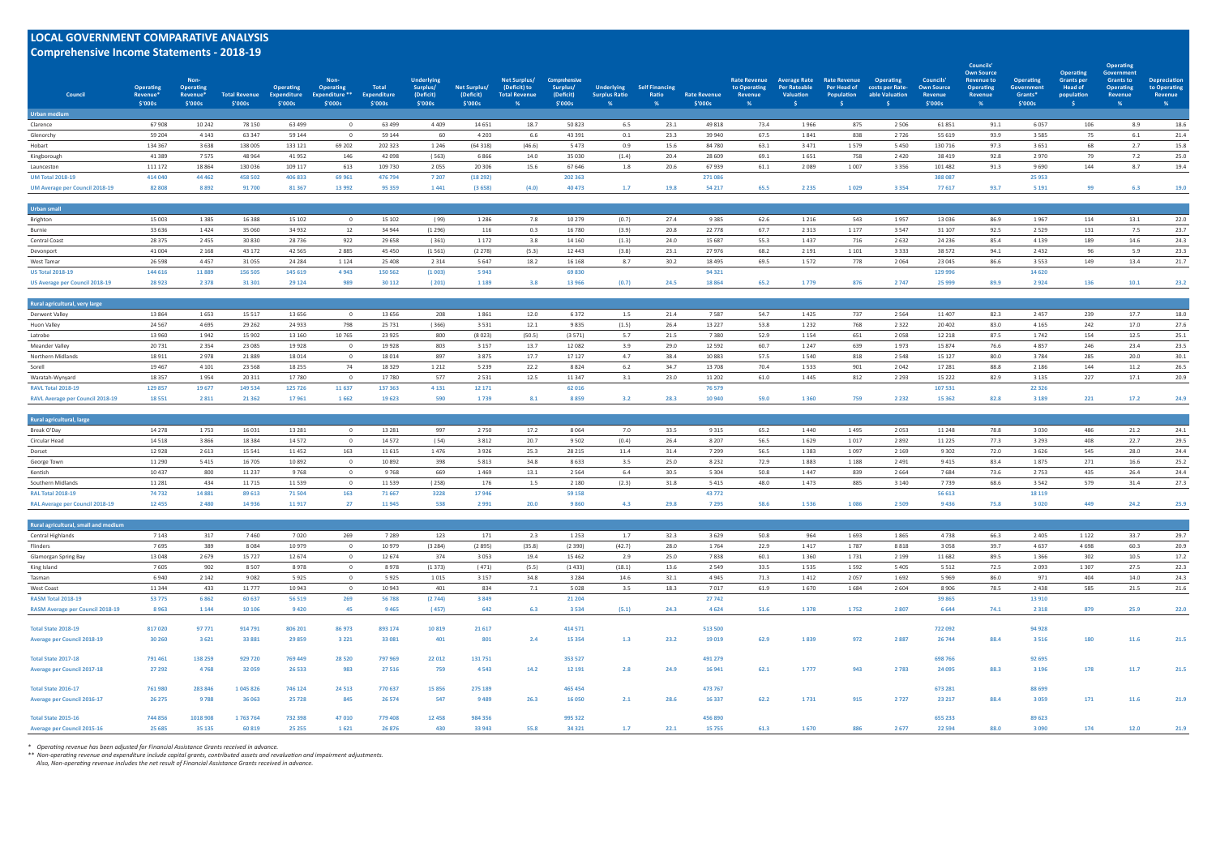# **LOCAL GOVERNMENT COMPARATIVE ANALYSIS**

| <b>Comprehensive Income Statements - 2018-19</b><br>Council<br>Urban medium | <b>Operating</b><br>Revenue<br>\$'000s | Non-<br>Operating<br>Revenue*<br>\$'000s | <b>Total Revenue</b><br>\$'000s | <b>Operating</b><br><b>Expenditure</b><br>\$'000s | Non-<br>Operating<br><b>Expenditure **</b><br>\$'000s | <b>Total</b><br><b>Expenditure</b><br>\$'000s | <b>Underlying</b><br>Surplus/<br>(Deficit)<br>\$'000s | Net Surplus/<br>(Deficit)<br>\$'000s | Net Surplus/<br>(Deficit) to<br><b>Total Revenue</b><br>$\frac{9}{6}$ | Comprehensive<br>Surplus/<br>(Deficit)<br>\$'000s | <b>Underlying</b><br><b>Surplus Ratio</b><br>% | <b>Self Financing</b><br>Ratio<br>% | <b>Rate Revenue</b><br>\$'000s | <b>Rate Revenue</b><br>to Operating<br>Revenue<br>% | <b>Average Rate</b><br><b>Per Rateable</b><br><b>Valuation</b> | <b>Rate Revenue</b><br>Per Head of<br><b>Population</b> | Operating<br>costs per Rate-<br>able Valuation | Councils'<br><b>Own Source</b><br><b>Revenue</b><br>\$'000s | Councils'<br><b>Own Source</b><br><b>Revenue to</b><br>Operating<br>Revenue<br>% | Operating<br><b>Government</b><br>Grants*<br>\$'000s | <b>Operating</b><br><b>Grants</b> per<br><b>Head of</b><br>population<br>- S | <b>Operating</b><br>Government<br><b>Grants to</b><br>Operating<br>Revenue<br>% | <b>Depreciation</b><br>to Operating<br>Revenue<br>% |
|-----------------------------------------------------------------------------|----------------------------------------|------------------------------------------|---------------------------------|---------------------------------------------------|-------------------------------------------------------|-----------------------------------------------|-------------------------------------------------------|--------------------------------------|-----------------------------------------------------------------------|---------------------------------------------------|------------------------------------------------|-------------------------------------|--------------------------------|-----------------------------------------------------|----------------------------------------------------------------|---------------------------------------------------------|------------------------------------------------|-------------------------------------------------------------|----------------------------------------------------------------------------------|------------------------------------------------------|------------------------------------------------------------------------------|---------------------------------------------------------------------------------|-----------------------------------------------------|
| Clarence                                                                    | 67908                                  | 10 24 2                                  | 78 150                          | 63 499                                            | $\overline{0}$                                        | 63 499                                        | 4409                                                  | 14 651                               | 18.7                                                                  | 50 823                                            | 6.5                                            | 23.1                                | 49 818                         | 73.4                                                | 1966                                                           | 875                                                     | 2 5 0 6                                        | 61851                                                       | 91.1                                                                             | 6057                                                 | 106                                                                          | 8.9                                                                             | 18.6                                                |
| Glenorchy                                                                   | 59 204                                 | 4 1 4 3                                  | 63 347                          | 59 144                                            | $\overline{0}$                                        | 59 144                                        | 60                                                    | 4 2 0 3                              | 6.6                                                                   | 43 391                                            | 0.1                                            | 23.3                                | 39 940                         | 67.5                                                | 1841                                                           | 838                                                     | 2726                                           | 55 619                                                      | 93.9                                                                             | 3 5 8 5                                              | 75                                                                           | 6.1                                                                             | 21.4                                                |
| Hobart                                                                      | 134 367                                | 3638                                     | 138 005                         | 133 121                                           | 69 202                                                | 202 323                                       | 1 2 4 6                                               | (64318)                              | (46.6)                                                                | 5473                                              | 0.9                                            | 15.6                                | 84 780                         | 63.1                                                | 3471                                                           | 1579                                                    | 5450                                           | 130 716                                                     | 97.3                                                                             | 3 6 5 1                                              | 68                                                                           | 2.7                                                                             | 15.8                                                |
| Kingborough                                                                 | 41 3 8 9                               | 7575                                     | 48 9 64                         | 41952                                             | 146                                                   | 42 098                                        | (563)                                                 | 6866                                 | 14.0                                                                  | 35 030                                            | (1.4)                                          | 20.4                                | 28 609                         | 69.1                                                | 1651                                                           | 758                                                     | 2420                                           | 38 419                                                      | 92.8                                                                             | 2970                                                 | 79                                                                           | 7.2                                                                             | 25.0                                                |
| Launceston                                                                  | 111 172                                | 18 8 6 4                                 | 130 036                         | 109 117                                           | 613                                                   | 109 730                                       | 2055                                                  | 20 30 6                              | 15.6                                                                  | 67 646                                            | 1.8                                            | 20.6                                | 67939                          | 61.1                                                | 2089                                                           | 1007                                                    | 3 3 5 6                                        | 101 482                                                     | 91.3                                                                             | 9690                                                 | 144                                                                          | 8.7                                                                             | 19.4                                                |
| <b>UM Total 2018-19</b>                                                     | 414 040                                | 44 4 62                                  | 458 502                         | 406 833                                           | 69 961                                                | 476 794                                       | 7 2 0 7                                               | (18 292)                             |                                                                       | 202 363                                           |                                                |                                     | 271 086                        |                                                     |                                                                |                                                         |                                                | 388 087                                                     |                                                                                  | 25 953                                               |                                                                              |                                                                                 |                                                     |
| <b>UM Average per Council 2018-19</b>                                       | 82 808                                 | 8892                                     | 91700                           | 81 367                                            | 13 992                                                | 95 359                                        | 1441                                                  | (3658)                               | (4.0)                                                                 | 40 473                                            | 1.7                                            | 19.8                                | 54 217                         | 65.5                                                | 2 2 3 5                                                        | 1029                                                    | 3 3 5 4                                        | 77617                                                       | 93.7                                                                             | 5 1 9 1                                              | 99                                                                           | 6.3                                                                             | 19.0                                                |
| <b>Urban small</b>                                                          |                                        |                                          |                                 |                                                   |                                                       |                                               |                                                       |                                      |                                                                       |                                                   |                                                |                                     |                                |                                                     |                                                                |                                                         |                                                |                                                             |                                                                                  |                                                      |                                                                              |                                                                                 |                                                     |
| Brighton                                                                    | 15 003                                 | 1 3 8 5                                  | 16 388                          | 15 102                                            | $\overline{0}$                                        | 15 102                                        | (99)                                                  | 1 2 8 6                              | 7.8                                                                   | 10 279                                            | (0.7)                                          | 27.4                                | 9 3 8 5                        | 62.6                                                | 1 2 1 6                                                        | 543                                                     | 1957                                           | 13 0 36                                                     | 86.9                                                                             | 1967                                                 | 114                                                                          | 13.1                                                                            | 22.0                                                |
| Burnie                                                                      | 33 636                                 | 1424                                     | 35 060                          | 34 932                                            | 12                                                    | 34 944                                        | (1 296)                                               | 116                                  | 0.3                                                                   | 16 780                                            | (3.9)                                          | 20.8                                | 22 778                         | 67.7                                                | 2 3 1 3                                                        | 1 1 7 7                                                 | 3 5 4 7                                        | 31 107                                                      | 92.5                                                                             | 2 5 2 9                                              | 131                                                                          | 7.5                                                                             | 23.7                                                |
| Central Coast                                                               | 28 3 7 5                               | 2455                                     | 30 830                          | 28736                                             | 922                                                   | 29 658                                        | (361)                                                 | 1 1 7 2                              | 3.8                                                                   | 14 160                                            | (1.3)                                          | 24.0                                | 15 687                         | 55.3                                                | 1437                                                           | 716                                                     | 2632                                           | 24 2 36                                                     | 85.4                                                                             | 4 1 3 9                                              | 189                                                                          | 14.6                                                                            | 24.3                                                |
| Devonport                                                                   | 41 004                                 | 2 1 6 8                                  | 43 172                          | 42 5 65                                           | 2885                                                  | 45 450                                        | (1561)                                                | (2278)                               | (5.3)                                                                 | 12 4 43                                           | (3.8)                                          | 23.1                                | 27 976                         | 68.2                                                | 2 1 9 1                                                        | 1 1 0 1                                                 | 3 3 3 3                                        | 38 572                                                      | 94.1                                                                             | 2 4 3 2                                              | 96                                                                           | 5.9                                                                             | 23.3                                                |
| West Tamar                                                                  | 26 5 98                                | 4457                                     | 31 0 55                         | 24 284                                            | 1 1 2 4                                               | 25 408                                        | 2 3 1 4                                               | 5 6 4 7                              | 18.2                                                                  | 16 16 8                                           | 8.7                                            | 30.2                                | 18 4 95                        | 69.5                                                | 1572                                                           | 778                                                     | 2064                                           | 23 045                                                      | 86.6                                                                             | 3 5 5 3                                              | 149                                                                          | 13.4                                                                            | 21.7                                                |
| <b>US Total 2018-19</b>                                                     | 144 616                                | 11889                                    | 156 505                         | 145 619                                           | 4943                                                  | 150 562                                       | (1003)                                                | 5943                                 |                                                                       | 69830                                             |                                                |                                     | 94 321                         |                                                     |                                                                |                                                         |                                                | 129 996                                                     |                                                                                  | 14 6 20                                              |                                                                              |                                                                                 |                                                     |
| US Average per Council 2018-19                                              | 28 9 23                                | 2 3 7 8                                  | 31 301                          | 29 1 24                                           | 989                                                   | 30 112                                        | (201)                                                 | 1 1 8 9                              | 3.8                                                                   | 13 966                                            | (0.7)                                          | 24.5                                | 18 8 6 4                       | 65.2                                                | 1779                                                           | 876                                                     | 2747                                           | 25 999                                                      | 89.9                                                                             | 2924                                                 | 136                                                                          | 10.1                                                                            | 23.2                                                |
| Rural agricultural, very large                                              |                                        |                                          |                                 |                                                   |                                                       |                                               |                                                       |                                      |                                                                       |                                                   |                                                |                                     |                                |                                                     |                                                                |                                                         |                                                |                                                             |                                                                                  |                                                      |                                                                              |                                                                                 |                                                     |
| Derwent Valley                                                              | 13 8 6 4                               | 1653                                     | 15 5 17                         | 13 6 5 6                                          | $\overline{0}$                                        | 13 656                                        | 208                                                   | 1861                                 | 12.0                                                                  | 6372                                              | 1.5                                            | 21.4                                | 7587                           | 54.7                                                | 1425                                                           | 737                                                     | 2 5 6 4                                        | 11 407                                                      | 82.3                                                                             | 2 4 5 7                                              | 239                                                                          | 17.7                                                                            | 18.0                                                |
| Huon Valley                                                                 | 24 5 67                                | 4695                                     | 29 26 2                         | 24 9 33                                           | 798                                                   | 25 7 31                                       | (366)                                                 | 3531                                 | 12.1                                                                  | 9835                                              | (1.5)                                          | 26.4                                | 13 227                         | 53.8                                                | 1 2 3 2                                                        | 768                                                     | 2 3 2 2                                        | 20 40 2                                                     | 83.0                                                                             | 4 1 6 5                                              | 242                                                                          | 17.0                                                                            | 27.6                                                |
| Latrobe                                                                     | 13 960                                 | 1942                                     | 15 902                          | 13 160                                            | 10765                                                 | 23 925                                        | 800                                                   | (8023)                               | (50.5)                                                                | (3571)                                            | 5.7                                            | 21.5                                | 7 3 8 0                        | 52.9                                                | 1 1 5 4                                                        | 651                                                     | 2058                                           | 12 218                                                      | 87.5                                                                             | 1742                                                 | 154                                                                          | 12.5                                                                            | 25.1                                                |
| <b>Meander Valley</b>                                                       | 20731                                  | 2 3 5 4                                  | 23 085                          | 19928                                             | $\overline{0}$                                        | 19 9 28                                       | 803                                                   | 3 1 5 7                              | 13.7                                                                  | 12 08 2                                           | 3.9                                            | 29.0                                | 12 592                         | 60.7                                                | 1 2 4 7                                                        | 639                                                     | 1973                                           | 15 874                                                      | 76.6                                                                             | 4857                                                 | 246                                                                          | 23.4                                                                            | 23.5                                                |
| Northern Midlands                                                           | 18 9 11                                | 2978                                     | 21889                           | 18 0 14                                           | $\overline{0}$                                        | 18 014                                        | 897                                                   | 3875                                 | 17.7                                                                  | 17 127                                            | 4.7                                            | 38.4                                | 10 883                         | 57.5                                                | 1540                                                           | 818                                                     | 2 5 4 8                                        | 15 127                                                      | 80.0                                                                             | 3784                                                 | 285                                                                          | 20.0                                                                            | 30.1                                                |
| Sorell                                                                      | 19 4 67                                | 4 1 0 1                                  | 23 5 68                         | 18 25 5                                           | 74                                                    | 18 3 29                                       | 1 2 1 2                                               | 5 2 3 9                              | 22.2                                                                  | 8824                                              | 6.2                                            | 34.7                                | 13 708                         | 70.4                                                | 1533                                                           | 901                                                     | 2042                                           | 17 28 1                                                     | 88.8                                                                             | 2 1 8 6                                              | 144                                                                          | 11.2                                                                            | 26.5                                                |
| Waratah-Wynyard                                                             | 18 3 5 7                               | 1954                                     | 20 311                          | 17780                                             | $\overline{0}$                                        | 17 780                                        | 577                                                   | 2 5 3 1                              | 12.5                                                                  | 11 347                                            | 3.1                                            | 23.0                                | 11 202                         | 61.0                                                | 1445                                                           | 812                                                     | 2 2 9 3                                        | 15 2 22                                                     | 82.9                                                                             | 3 1 3 5                                              | 227                                                                          | 17.1                                                                            | 20.9                                                |
| <b>RAVL Total 2018-19</b><br><b>RAVL Average per Council 2018-19</b>        | 129 857<br>18551                       | 19677<br>2811                            | 149 534<br>21 3 6 2             | 125 726<br>17961                                  | 11637<br>1662                                         | 137 363<br>19 623                             | 4 1 3 1<br>590                                        | 12 17 1<br>1739                      | 8.1                                                                   | 62 016<br>8859                                    | 3.2                                            | 28.3                                | 76 579<br>10 940               | 59.0                                                | 1360                                                           | 759                                                     | 2 2 3 2                                        | 107 531<br>15 3 62                                          | 82.8                                                                             | 22 3 26<br>3 1 8 9                                   | 221                                                                          | 17.2                                                                            | 24.9                                                |
|                                                                             |                                        |                                          |                                 |                                                   |                                                       |                                               |                                                       |                                      |                                                                       |                                                   |                                                |                                     |                                |                                                     |                                                                |                                                         |                                                |                                                             |                                                                                  |                                                      |                                                                              |                                                                                 |                                                     |
| Rural agricultural, large                                                   |                                        |                                          |                                 |                                                   |                                                       |                                               |                                                       |                                      |                                                                       |                                                   |                                                |                                     |                                |                                                     |                                                                |                                                         |                                                |                                                             |                                                                                  |                                                      |                                                                              |                                                                                 |                                                     |
| Break O'Day                                                                 | 14 2 78<br>14 5 18                     | 1753<br>3866                             | 16 03 1<br>18 3 8 4             | 13 2 8 1<br>14 5 72                               | $\overline{0}$<br>$\overline{0}$                      | 13 28 1<br>14 572                             | 997<br>(54)                                           | 2750<br>3812                         | 17.2<br>20.7                                                          | 8064<br>9 5 0 2                                   | 7.0<br>(0.4)                                   | 33.5<br>26.4                        | 9 3 1 5<br>8 2 0 7             | 65.2<br>56.5                                        | 1440<br>1629                                                   | 1495<br>1017                                            | 2053<br>2892                                   | 11 248                                                      | 78.8<br>77.3                                                                     | 3 0 3 0<br>3 2 9 3                                   | 486<br>408                                                                   | 21.2<br>22.7                                                                    | 24.1<br>29.5                                        |
| Circular Head<br>Dorset                                                     | 12928                                  | 2 6 1 3                                  | 15 5 41                         | 11 4 52                                           | 163                                                   | 11 6 15                                       | 1476                                                  | 3926                                 | 25.3                                                                  | 28 215                                            | 11.4                                           | 31.4                                | 7 2 9 9                        | 56.5                                                | 1383                                                           | 1097                                                    | 2 1 6 9                                        | 11 2 2 5<br>9 3 0 2                                         | 72.0                                                                             | 3 6 2 6                                              | 545                                                                          | 28.0                                                                            | 24.4                                                |
| George Town                                                                 | 11 2 9 0                               | 5415                                     | 16 705                          | 10892                                             | $\overline{0}$                                        | 10 892                                        | 398                                                   | 5813                                 | 34.8                                                                  | 8633                                              | 3.5                                            | 25.0                                | 8 2 3 2                        | 72.9                                                | 1883                                                           | 1 1 8 8                                                 | 2491                                           | 9415                                                        | 83.4                                                                             | 1875                                                 | 271                                                                          | 16.6                                                                            | 25.2                                                |
| Kentish                                                                     | 10 4 37                                | 800                                      | 11 237                          | 9768                                              | $\overline{0}$                                        | 9768                                          | 669                                                   | 1469                                 | 13.1                                                                  | 2 5 6 4                                           | 6.4                                            | 30.5                                | 5 3 0 4                        | 50.8                                                | 1447                                                           | 839                                                     | 2 6 6 4                                        | 7684                                                        | 73.6                                                                             | 2 7 5 3                                              | 435                                                                          | 26.4                                                                            | 24.4                                                |
| Southern Midlands                                                           | 11 2 8 1                               | 434                                      | 11 7 15                         | 11 5 3 9                                          | $\overline{0}$                                        | 11 539                                        | (258)                                                 | 176                                  | 1.5                                                                   | 2 1 8 0                                           | (2.3)                                          | 31.8                                | 5415                           | 48.0                                                | 1473                                                           | 885                                                     | 3 1 4 0                                        | 7739                                                        | 68.6                                                                             | 3 5 4 2                                              | 579                                                                          | 31.4                                                                            | 27.3                                                |
| <b>RAL Total 2018-19</b>                                                    | 74732                                  | 14 8 8 1                                 | 89 613                          | 71504                                             | 163                                                   | 71 667                                        | 3228                                                  | 17946                                |                                                                       | 59 158                                            |                                                |                                     | 43 772                         |                                                     |                                                                |                                                         |                                                | 56 613                                                      |                                                                                  | 18 119                                               |                                                                              |                                                                                 |                                                     |
| <b>RAL Average per Council 2018-19</b>                                      | 12 455                                 | 2480                                     | 14 9 36                         | 11917                                             | 27                                                    | 11 945                                        | 538                                                   | 2 9 9 1                              | 20.0                                                                  | 9860                                              | 4.3                                            | 29.8                                | 7 295                          | 58.6                                                | 1536                                                           | 1086                                                    | 2 5 0 9                                        | 9436                                                        | 75.8                                                                             | 3 0 2 0                                              | 449                                                                          | 24.2                                                                            | 25.9                                                |
| Rural agricultural, small and medium                                        |                                        |                                          |                                 |                                                   |                                                       |                                               |                                                       |                                      |                                                                       |                                                   |                                                |                                     |                                |                                                     |                                                                |                                                         |                                                |                                                             |                                                                                  |                                                      |                                                                              |                                                                                 |                                                     |
| Central Highlands                                                           | 7 1 4 3                                | 317                                      | 7460                            | 7020                                              | 269                                                   | 7 2 8 9                                       | 123                                                   | 171                                  | 2.3                                                                   | 1 2 5 3                                           | 1.7                                            | 32.3                                | 3629                           | 50.8                                                | 964                                                            | 1693                                                    | 1865                                           | 4738                                                        | 66.3                                                                             | 2 4 0 5                                              | 1 1 2 2                                                                      | 33.7                                                                            | 29.7                                                |
| Flinders                                                                    | 7695                                   | 389                                      | 8084                            | 10979                                             | $\overline{0}$                                        | 10 979                                        | (3 284)                                               | (2895)                               | (35.8)                                                                | (2390)                                            | (42.7)                                         | 28.0                                | 1764                           | 22.9                                                | 1417                                                           | 1787                                                    | 8818                                           | 3058                                                        | 39.7                                                                             | 4 6 3 7                                              | 4698                                                                         | 60.3                                                                            | 20.9                                                |
| Glamorgan Spring Bay                                                        | 13 048                                 | 2679                                     | 15727                           | 12674                                             | $\overline{0}$                                        | 12 674                                        | 374                                                   | 3053                                 | 19.4                                                                  | 15 4 62                                           | 2.9                                            | 25.0                                | 7838                           | 60.1                                                | 1360                                                           | 1731                                                    | 2 1 9 9                                        | 11 682                                                      | 89.5                                                                             | 1 3 6 6                                              | 302                                                                          | 10.5                                                                            | 17.2                                                |
| King Island                                                                 | 7605                                   | 902                                      | 8507                            | 8978                                              | $\overline{0}$                                        | 8978                                          | (1373)                                                | (471)                                | (5.5)                                                                 | (1433)                                            | (18.1)                                         | 13.6                                | 2 5 4 9                        | 33.5                                                | 1535                                                           | 1592                                                    | 5405                                           | 5 5 1 2                                                     | 72.5                                                                             | 2 0 9 3                                              | 1 3 0 7                                                                      | 27.5                                                                            | 22.3                                                |
| Tasman                                                                      | 6940                                   | 2 1 4 2                                  | 9082                            | 5925                                              | $\overline{0}$                                        | 5925                                          | 1015                                                  | 3 1 5 7                              | 34.8                                                                  | 3 2 8 4                                           | 14.6                                           | 32.1                                | 4 9 4 5                        | 71.3                                                | 1412                                                           | 2057                                                    | 1692                                           | 5969                                                        | 86.0                                                                             | 971                                                  | 404                                                                          | 14.0                                                                            | 24.3                                                |
| West Coast                                                                  | 11 344                                 | 433                                      | 11 777                          | 10943                                             | $\overline{0}$                                        | 10 943                                        | 401                                                   | 834                                  | 7.1                                                                   | 5028                                              | 3.5                                            | 18.3                                | 7017                           | 61.9                                                | 1670                                                           | 1684                                                    | 2 604                                          | 8906                                                        | 78.5                                                                             | 2438                                                 | 585                                                                          | 21.5                                                                            | 21.6                                                |
| <b>RASM Total 2018-19</b>                                                   | 53 7 7 5                               | 6862                                     | 60 637                          | 56 519                                            | 269                                                   | 56 788                                        | (2744)                                                | 3849                                 |                                                                       | 21 204                                            |                                                |                                     | 27 742                         |                                                     |                                                                |                                                         |                                                | 39 865                                                      |                                                                                  | 13 910                                               |                                                                              |                                                                                 |                                                     |
| <b>RASM Average per Council 2018-19</b>                                     | 8963                                   | 1 1 4 4                                  | 10 10 6                         | 9420                                              | 45                                                    | 9 4 6 5                                       | (457)                                                 | 642                                  | 6.3                                                                   | 3 5 3 4                                           | (5.1)                                          | 24.3                                | 4 6 2 4                        | 51.6                                                | 1378                                                           | 1752                                                    | 2 8 0 7                                        | 6 6 4 4                                                     | 74.1                                                                             | 2 3 1 8                                              | 879                                                                          | 25.9                                                                            | 22.0                                                |
| Total State 2018-19                                                         | 817020                                 | 97 771                                   | 914 791                         | 806 201                                           | 86 973                                                | 893 174                                       | 10819                                                 | 21 6 17                              |                                                                       | 414 571                                           |                                                |                                     | 513 500                        |                                                     |                                                                |                                                         |                                                | 722 092                                                     |                                                                                  | 94 928                                               |                                                                              |                                                                                 |                                                     |
| <b>Average per Council 2018-19</b>                                          | 30 260                                 | 3621                                     | 33 881                          | 29 859                                            | 3 2 2 1                                               | 33 081                                        | 401                                                   | 801                                  | 2.4                                                                   | 15 3 5 4                                          | 1.3                                            | 23.2                                | 19 019                         | 62.9                                                | 1839                                                           | 972                                                     | 2887                                           | 26 744                                                      | 88.4                                                                             | 3 5 1 6                                              | 180                                                                          | 11.6                                                                            | 21.5                                                |
| Total State 2017-18                                                         | 791 461                                | 138 259                                  | 929 720                         | 769 449                                           | 28 5 20                                               | 797 969                                       | 22 012                                                | 131751                               |                                                                       | 353 527                                           |                                                |                                     | 491 279                        |                                                     |                                                                |                                                         |                                                | 698 766                                                     |                                                                                  | 92 695                                               |                                                                              |                                                                                 |                                                     |
| <b>Average per Council 2017-18</b>                                          | 27 29 2                                | 4768                                     | 32 059                          | 26 5 33                                           | 983                                                   | 27 516                                        | 759                                                   | 4543                                 | 14.2                                                                  | 12 19 1                                           | 2.8                                            | 24.9                                | 16 941                         | 62.1                                                | 1777                                                           | 943                                                     | 2783                                           | 24 095                                                      | 88.3                                                                             | 3 1 9 6                                              | 178                                                                          | 11.7                                                                            | 21.5                                                |
| Total State 2016-17                                                         | 761 980                                | 283 846                                  | 1045826                         | 746 124                                           | 24 5 13                                               | 770 637                                       | 15 8 5 6                                              | 275 189                              |                                                                       | 465 454                                           |                                                |                                     | 473 767                        |                                                     |                                                                |                                                         |                                                | 673 281                                                     |                                                                                  | 88 699                                               |                                                                              |                                                                                 |                                                     |
| <b>Average per Council 2016-17</b>                                          | 26 275                                 | 9788                                     | 36 063                          | 25 7 28                                           | 845                                                   | 26 574                                        | 547                                                   | 9489                                 | 26.3                                                                  | 16 050                                            | 2.1                                            | 28.6                                | 16 337                         | 62.2                                                | 1731                                                           | 915                                                     | 2727                                           | 23 217                                                      | 88.4                                                                             | 3 0 5 9                                              | 171                                                                          | 11.6                                                                            | 21.9                                                |
| Total State 2015-16<br><b>Average per Council 2015-16</b>                   | 744 856<br>25 685                      | 1018 908<br>35 135                       | 1763764<br>60 819               | 732 398<br>25 25 5                                | 47 010<br>1621                                        | 779 408<br>26 876                             | 12 4 5 8<br>430                                       | 984 356<br>33 943                    | 55.8                                                                  | 995 322<br>34 321                                 | 1.7                                            | 22.1                                | 456 890<br>15755               | 61.3                                                | 1670                                                           | 886                                                     | 2677                                           | 655 233<br>22 5 94                                          | 88.0                                                                             | 89 623<br>3 0 9 0                                    | 174                                                                          | 12.0                                                                            | 21.9                                                |
|                                                                             |                                        |                                          |                                 |                                                   |                                                       |                                               |                                                       |                                      |                                                                       |                                                   |                                                |                                     |                                |                                                     |                                                                |                                                         |                                                |                                                             |                                                                                  |                                                      |                                                                              |                                                                                 |                                                     |

\* Operating revenue has been adjusted for Financial Assistance Grants received in advance.<br>\*\* Non-operating revenue and expenditure include capital grants, contributed assets and revaluation and impairment adjustments.<br>Als